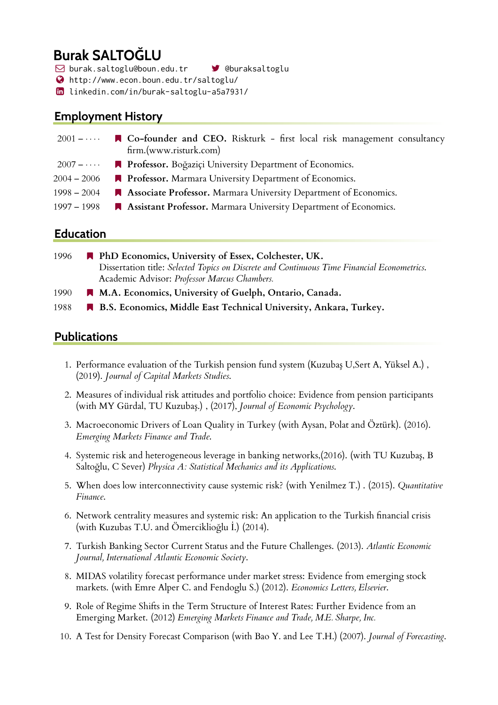# **Burak SALTOĞLU**

 $\boxdot$  burak.saltoglu@boun.edu.tr  $\blacksquare$  @buraksaltoglu

- $\bigcirc$  http://www.econ.boun.edu.tr/saltoglu/
- $\text{ in }$  linkedin.com/in/burak-saltoglu-a5a7931/

# **Employment History**

| $2001 - \cdots$ | ■ Co-founder and CEO. Riskturk - first local risk management consultancy<br>firm.(www.risturk.com) |
|-----------------|----------------------------------------------------------------------------------------------------|
|                 | 2007 - ···· • • Professor. Boğaziçi University Department of Economics.                            |
| $2004 - 2006$   | <b>Professor.</b> Marmara University Department of Economics.                                      |
| $1998 - 2004$   | Associate Professor. Marmara University Department of Economics.                                   |
| $1997 - 1998$   | Assistant Professor. Marmara University Department of Economics.                                   |

### **Education**

| 1996 | PhD Economics, University of Essex, Colchester, UK.                                         |
|------|---------------------------------------------------------------------------------------------|
|      | Dissertation title: Selected Topics on Discrete and Continuous Time Financial Econometrics. |
|      | Academic Advisor: Professor Marcus Chambers.                                                |
| 1990 | M.A. Economics, University of Guelph, Ontario, Canada.                                      |
| 1988 | B.S. Economics, Middle East Technical University, Ankara, Turkey.                           |

# **Publications**

- 1. Performance evaluation of the Turkish pension fund system (Kuzubaş U,Sert A, Yüksel A.), (2019). *Journal of Capital Markets Studies*.
- 2. Measures of individual risk attitudes and portfolio choice: Evidence from pension participants (with MY Gürdal, TU Kuzubaş.), (2017), *Journal of Economic Psychology*.
- 3. Macroeconomic Drivers of Loan Quality in Turkey (with Aysan, Polat and Öztürk). (2016). *Emerging Markets Finance and Trade*.
- 4. Systemic risk and heterogeneous leverage in banking networks,(2016). (with TU Kuzuba, B Saltoğlu, C Sever) *Physica A: Statistical Mechanics and its Applications*.
- 5. When does low interconnectivity cause systemic risk? (with Yenilmez T.) . (2015). *Quantitative Finance*.
- 6. Network centrality measures and systemic risk: An application to the Turkish financial crisis (with Kuzubas T.U. and Ömerciklioğlu I.) (2014).
- 7. Turkish Banking Sector Current Status and the Future Challenges. (2013). *Atlantic Economic Journal, International Atlantic Economic Society*.
- 8. MIDAS volatility forecast performance under market stress: Evidence from emerging stock markets. (with Emre Alper C. and Fendoglu S.) (2012). *Economics Letters, Elsevier*.
- 9. Role of Regime Shifts in the Term Structure of Interest Rates: Further Evidence from an Emerging Market. (2012) *Emerging Markets Finance and Trade, M.E. Sharpe, Inc.*
- 10. A Test for Density Forecast Comparison (with Bao Y. and Lee T.H.) (2007). *Journal of Forecasting*.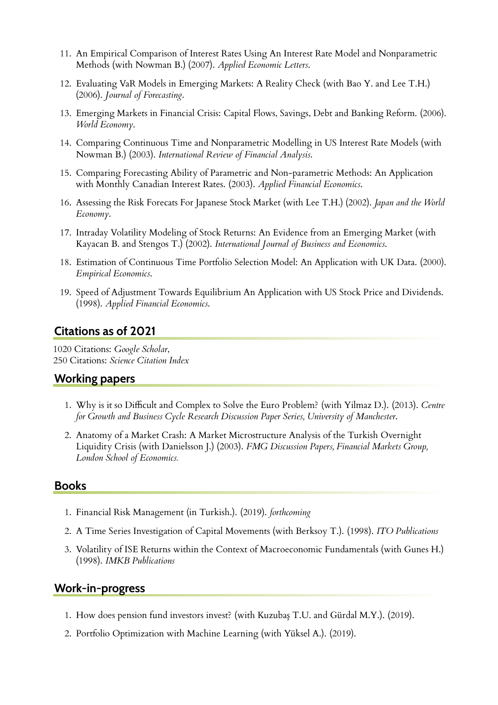- 11. An Empirical Comparison of Interest Rates Using An Interest Rate Model and Nonparametric Methods (with Nowman B.) (2007). *Applied Economic Letters*.
- 12. Evaluating VaR Models in Emerging Markets: A Reality Check (with Bao Y. and Lee T.H.) (2006). *Journal of Forecasting*.
- 13. Emerging Markets in Financial Crisis: Capital Flows, Savings, Debt and Banking Reform. (2006). *World Economy*.
- 14. Comparing Continuous Time and Nonparametric Modelling in US Interest Rate Models (with Nowman B.) (2003). *International Review of Financial Analysis*.
- 15. Comparing Forecasting Ability of Parametric and Non-parametric Methods: An Application with Monthly Canadian Interest Rates. (2003). *Applied Financial Economics*.
- 16. Assessing the Risk Forecats For Japanese Stock Market (with Lee T.H.) (2002). *Japan and the World Economy*.
- 17. Intraday Volatility Modeling of Stock Returns: An Evidence from an Emerging Market (with Kayacan B. and Stengos T.) (2002). *International Journal of Business and Economics*.
- 18. Estimation of Continuous Time Portfolio Selection Model: An Application with UK Data. (2000). *Empirical Economics*.
- 19. Speed of Adjustment Towards Equilibrium An Application with US Stock Price and Dividends. (1998). *Applied Financial Economics*.

### **Citations as of 2021**

1020 Citations: *Google Scholar*, 250 Citations: *Science Citation Index*

### **Working papers**

- 1. Why is it so Difficult and Complex to Solve the Euro Problem? (with Yilmaz D.). (2013). *Centre for Growth and Business Cycle Research Discussion Paper Series, University of Manchester*.
- 2. Anatomy of a Market Crash: A Market Microstructure Analysis of the Turkish Overnight Liquidity Crisis (with Danielsson J.) (2003). *FMG Discussion Papers, Financial Markets Group, London School of Economics.*

#### **Books**

- 1. Financial Risk Management (in Turkish.). (2019). *forthcoming*
- 2. A Time Series Investigation of Capital Movements (with Berksoy T.). (1998). *ITO Publications*
- 3. Volatility of ISE Returns within the Context of Macroeconomic Fundamentals (with Gunes H.) (1998). *IMKB Publications*

#### **Work-in-progress**

- 1. How does pension fund investors invest? (with Kuzubaş T.U. and Gürdal M.Y.). (2019).
- 2. Portfolio Optimization with Machine Learning (with Yüksel A.). (2019).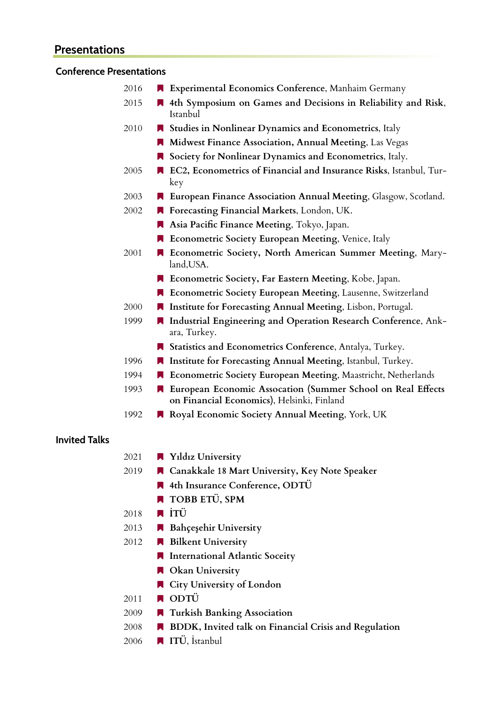# **Presentations**

## **Conference Presentations**

| 2016 | Experimental Economics Conference, Manhaim Germany                                                        |
|------|-----------------------------------------------------------------------------------------------------------|
| 2015 | 4th Symposium on Games and Decisions in Reliability and Risk,<br>Istanbul                                 |
| 2010 | Studies in Nonlinear Dynamics and Econometrics, Italy                                                     |
|      | Midwest Finance Association, Annual Meeting, Las Vegas                                                    |
|      | Society for Nonlinear Dynamics and Econometrics, Italy.                                                   |
| 2005 | EC2, Econometrics of Financial and Insurance Risks, Istanbul, Tur-<br>key                                 |
| 2003 | European Finance Association Annual Meeting, Glasgow, Scotland.                                           |
| 2002 | Forecasting Financial Markets, London, UK.                                                                |
|      | Asia Pacific Finance Meeting, Tokyo, Japan.                                                               |
|      | Econometric Society European Meeting, Venice, Italy                                                       |
| 2001 | Econometric Society, North American Summer Meeting, Mary-<br>land, USA.                                   |
|      | Econometric Society, Far Eastern Meeting, Kobe, Japan.                                                    |
|      | Econometric Society European Meeting, Lausenne, Switzerland                                               |
| 2000 | Institute for Forecasting Annual Meeting, Lisbon, Portugal.                                               |
| 1999 | Industrial Engineering and Operation Research Conference, Ank-<br>ara, Turkey.                            |
|      | Statistics and Econometrics Conference, Antalya, Turkey.                                                  |
| 1996 | Institute for Forecasting Annual Meeting, Istanbul, Turkey.                                               |
| 1994 | Econometric Society European Meeting, Maastricht, Netherlands                                             |
| 1993 | European Economic Assocation (Summer School on Real Effects<br>on Financial Economics), Helsinki, Finland |
| 1992 | Royal Economic Society Annual Meeting, York, UK                                                           |
|      |                                                                                                           |

## **Invited Talks**

| 2021 | $\blacksquare$ Yıldız University                      |
|------|-------------------------------------------------------|
| 2019 | ■ Canakkale 18 Mart University, Key Note Speaker      |
|      | 4th Insurance Conference, ODTÜ                        |
|      | <b>TOBB ETÜ, SPM</b>                                  |
| 2018 | $\blacksquare$ itü                                    |
| 2013 | Bahçeşehir University                                 |
| 2012 | Bilkent University                                    |
|      | International Atlantic Soceity                        |
|      | <b>N</b> Okan University                              |
|      | ■ City University of London                           |
| 2011 | $\blacksquare$ ODTÜ                                   |
| 2009 | Turkish Banking Association                           |
| 2008 | BDDK, Invited talk on Financial Crisis and Regulation |
| 2006 | <b>TTÜ</b> , İstanbul                                 |
|      |                                                       |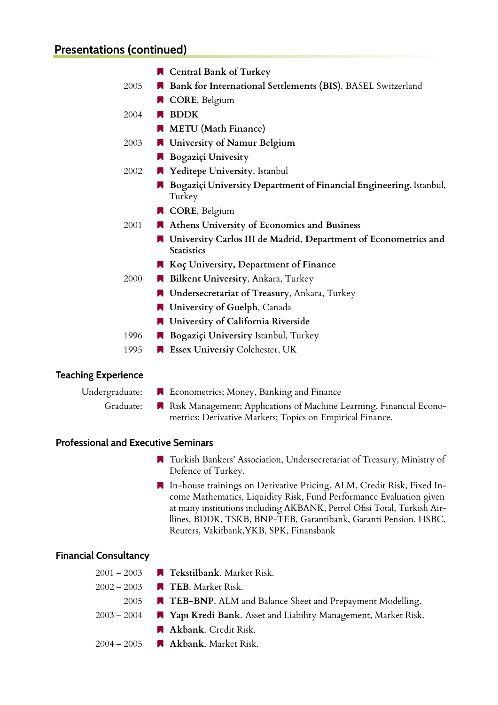|      | <b>R</b> Central Bank of Turkey                                                      |
|------|--------------------------------------------------------------------------------------|
| 2005 | Bank for International Settlements (BIS), BASEL Switzerland                          |
|      | <b>CORE, Belgium</b>                                                                 |
| 2004 | <b>BDDK</b>                                                                          |
|      | <b>METU</b> (Math Finance)                                                           |
| 2003 | University of Namur Belgium                                                          |
|      | Bogaziçi Univesity                                                                   |
| 2002 | Yeditepe University, Istanbul                                                        |
|      | Bogaziçi University Department of Financial Engineering, Istanbul,<br>Turkey         |
|      | <b>CORE, Belgium</b>                                                                 |
| 2001 | Athens University of Economics and Business                                          |
|      | University Carlos III de Madrid, Department of Econometrics and<br><b>Statistics</b> |
|      | Koç University, Department of Finance                                                |
| 2000 | Bilkent University, Ankara, Turkey                                                   |
|      | Undersecretariat of Treasury, Ankara, Turkey                                         |
|      | University of Guelph, Canada                                                         |
|      | University of California Riverside                                                   |
| 1996 | Bogaziçi University Istanbul, Turkey                                                 |
| 1995 | <b>R</b> Essex Universiy Colchester, UK                                              |

#### **Teaching Experience**

- 
- Undergraduate: **K** Econometrics; Money, Banking and Finance
	- Graduate: Risk Management; Applications of Machine Learning, Financial Econometrics; Derivative Markets; Topics on Empirical Finance.

#### **Professional and Executive Seminars**

- **N** Turkish Bankers' Association, Undersecretariat of Treasury, Ministry of Defence of Turkey.
- \$ In-house trainings on Derivative Pricing, ALM, Credit Risk, Fixed Income Mathematics, Liquidity Risk, Fund Performance Evaluation given at many institutions including AKBANK, Petrol Ofisi Total, Turkish Airllines, BDDK, TSKB, BNP-TEB, Garantibank, Garanti Pension, HSBC, Reuters, Vakifbank,YKB, SPK, Finansbank

#### **Financial Consultancy**

2001 – 2003 \$ **Tekstilbank**. Market Risk. 2002 – 2003 ■ **TEB**. Market Risk. 2005 **A TEB-BNP**. ALM and Balance Sheet and Prepayment Modelling. 2003 – 2004 \$ **Yapı Kredi Bank**. Asset and Liability Management, Market Risk. **Akbank**. Credit Risk. 2004 – 2005 \$ **Akbank**. Market Risk.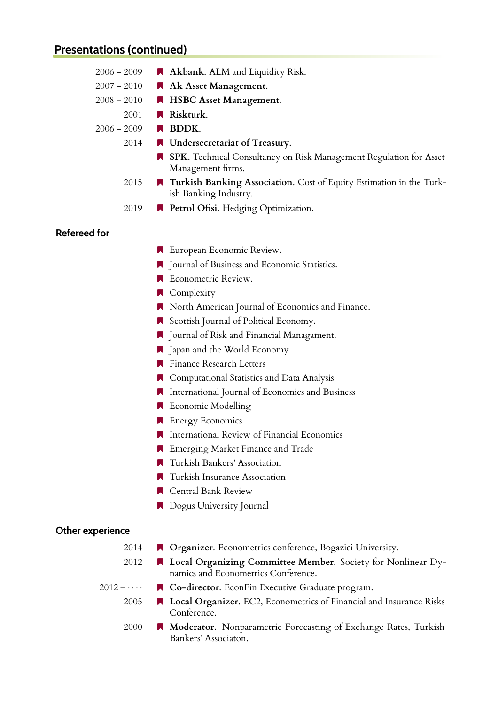| $2006 - 2009$       | Akbank. ALM and Liquidity Risk.                                                                     |
|---------------------|-----------------------------------------------------------------------------------------------------|
| $2007 - 2010$       | Ak Asset Management.                                                                                |
| $2008 - 2010$       | HSBC Asset Management.                                                                              |
| 2001                | Riskturk.                                                                                           |
| $2006 - 2009$       | <b>BDDK.</b>                                                                                        |
| 2014                | Undersecretariat of Treasury.                                                                       |
|                     | SPK. Technical Consultancy on Risk Management Regulation for Asset<br>Management firms.             |
| 2015                | Turkish Banking Association. Cost of Equity Estimation in the Turk-<br>ish Banking Industry.        |
| 2019                | Petrol Ofisi. Hedging Optimization.                                                                 |
| <b>Refereed for</b> |                                                                                                     |
|                     | European Economic Review.                                                                           |
|                     | Journal of Business and Economic Statistics.                                                        |
|                     | Econometric Review.                                                                                 |
|                     | Complexity                                                                                          |
|                     | North American Journal of Economics and Finance.                                                    |
|                     | Scottish Journal of Political Economy.                                                              |
|                     | Journal of Risk and Financial Managament.                                                           |
|                     | <b>A</b> Japan and the World Economy                                                                |
|                     | <b>Finance Research Letters</b>                                                                     |
|                     | Computational Statistics and Data Analysis                                                          |
|                     | International Journal of Economics and Business                                                     |
|                     | <b>Economic Modelling</b>                                                                           |
|                     | <b>R</b> Energy Economics                                                                           |
|                     | International Review of Financial Economics                                                         |
|                     | <b>Emerging Market Finance and Trade</b>                                                            |
|                     | Turkish Bankers' Association                                                                        |
|                     | Turkish Insurance Association                                                                       |
|                     | Central Bank Review                                                                                 |
|                     | Dogus University Journal                                                                            |
| Other experience    |                                                                                                     |
| 2014                | Organizer. Econometrics conference, Bogazici University.                                            |
| 2012                | Local Organizing Committee Member. Society for Nonlinear Dy-<br>namics and Econometrics Conference. |
| $2012 - \cdots$     | ■ Co-director. EconFin Executive Graduate program.                                                  |
| 2005                | Local Organizer. EC2, Econometrics of Financial and Insurance Risks                                 |

Conference. 2000 **• Moderator**. Nonparametric Forecasting of Exchange Rates, Turkish Bankers' Associaton.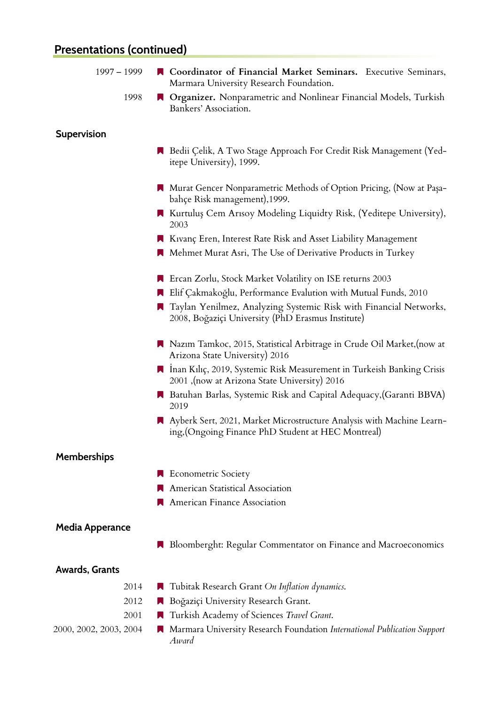| $1997 - 1999$          | <b>N</b> Coordinator of Financial Market Seminars. Executive Seminars,<br>Marmara University Research Foundation.             |
|------------------------|-------------------------------------------------------------------------------------------------------------------------------|
| 1998                   | Organizer. Nonparametric and Nonlinear Financial Models, Turkish<br>Bankers' Association.                                     |
| <b>Supervision</b>     |                                                                                                                               |
|                        | Bedii Çelik, A Two Stage Approach For Credit Risk Management (Yed-<br>itepe University), 1999.                                |
|                        | Murat Gencer Nonparametric Methods of Option Pricing, (Now at Paşa-<br>bahçe Risk management),1999.                           |
|                        | ■ Kurtuluş Cem Arısoy Modeling Liquidty Risk, (Yeditepe University),<br>2003                                                  |
|                        | Kivanç Eren, Interest Rate Risk and Asset Liability Management<br>Mehmet Murat Asri, The Use of Derivative Products in Turkey |
|                        | ■ Ercan Zorlu, Stock Market Volatility on ISE returns 2003                                                                    |
|                        | Elif Çakmakoğlu, Performance Evalution with Mutual Funds, 2010                                                                |
|                        | Taylan Yenilmez, Analyzing Systemic Risk with Financial Networks,<br>2008, Boğaziçi University (PhD Erasmus Institute)        |
|                        | Nazim Tamkoc, 2015, Statistical Arbitrage in Crude Oil Market, (now at<br>Arizona State University) 2016                      |
|                        | ■ Inan Kılıç, 2019, Systemic Risk Measurement in Turkeish Banking Crisis<br>2001, (now at Arizona State University) 2016      |
|                        | Batuhan Barlas, Systemic Risk and Capital Adequacy, (Garanti BBVA)<br>2019                                                    |
|                        | Ayberk Sert, 2021, Market Microstructure Analysis with Machine Learn-<br>ing, (Ongoing Finance PhD Student at HEC Montreal)   |
| <b>Memberships</b>     |                                                                                                                               |
|                        | <b>Econometric Society</b>                                                                                                    |
|                        | American Statistical Association                                                                                              |
|                        | American Finance Association                                                                                                  |
| <b>Media Apperance</b> |                                                                                                                               |
|                        | Bloomberght: Regular Commentator on Finance and Macroeconomics                                                                |
| <b>Awards, Grants</b>  |                                                                                                                               |
| 2014                   | Tubitak Research Grant On Inflation dynamics.                                                                                 |
| 2012                   | Boğaziçi University Research Grant.                                                                                           |
| 2001                   | Turkish Academy of Sciences Travel Grant.                                                                                     |
| 2000, 2002, 2003, 2004 | Marmara University Research Foundation International Publication Support<br>Award                                             |